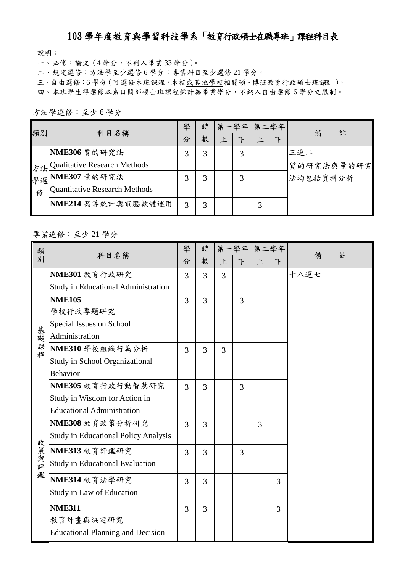## 103 學年度教育與學習科技學系「教育行政碩士在職專班」課程科目表

說明:

一、必修:論文(4 學分,不列入畢業 33 學分)。

二、規定選修:方法學至少選修 6 學分;專業科目至少選修 21 學分。

三、自由選修:6學分(可選修本班課程,本校或其他學校相關碩、博班教育行政碩士班課 )。

四、本班學生得選修本系日間部碩士班課程採計為畢業學分,不納入自由選修 6 學分之限制。

方法學選修:至少 6 學分

| 類別 | 科目名稱                            | 學 | 時 |   | 第一學年 第二學年 |   |        | 備<br>註     |
|----|---------------------------------|---|---|---|-----------|---|--------|------------|
|    |                                 | 分 | 數 | 上 | F         | 上 | $\top$ |            |
|    | NME306 質的研究法                    | 3 | 3 |   | 3         |   |        | 三選二        |
|    | 方法 Qualitative Research Methods |   |   |   |           |   |        | 質的研究法與量的研究 |
|    | 學選 NME307 量的研究法                 | 3 | 3 |   | 3         |   |        | 法均包括資料分析   |
| 修  | Quantitative Research Methods   |   |   |   |           |   |        |            |
|    | NME214 高等統計與電腦軟體運用              | 3 | 3 |   |           | 3 |        |            |

## 專業選修:至少 21 學分

| 類         | 科目名稱                                        | 學              | 時              |   | 第一學年 第二學年 |   |        | 備<br>註 |
|-----------|---------------------------------------------|----------------|----------------|---|-----------|---|--------|--------|
| 別         |                                             | 分              | 數              | 上 | F         | 上 | $\top$ |        |
|           | NME301 教育行政研究                               | 3              | $\overline{3}$ | 3 |           |   |        | 十八選七   |
|           | <b>Study in Educational Administration</b>  |                |                |   |           |   |        |        |
|           | <b>NME105</b>                               | $\overline{3}$ | $\overline{3}$ |   | 3         |   |        |        |
|           | 學校行政專題研究                                    |                |                |   |           |   |        |        |
| 基礎課程      | Special Issues on School                    |                |                |   |           |   |        |        |
|           | Administration                              |                |                |   |           |   |        |        |
|           | NME310 學校組織行為分析                             | 3              | $\overline{3}$ | 3 |           |   |        |        |
|           | <b>Study in School Organizational</b>       |                |                |   |           |   |        |        |
|           | <b>Behavior</b>                             |                |                |   |           |   |        |        |
|           | NME305 教育行政行動智慧研究                           | $\overline{3}$ | 3              |   | 3         |   |        |        |
|           | Study in Wisdom for Action in               |                |                |   |           |   |        |        |
|           | <b>Educational Administration</b>           |                |                |   |           |   |        |        |
|           | NME308 教育政策分析研究                             | $\overline{3}$ | 3              |   |           | 3 |        |        |
|           | <b>Study in Educational Policy Analysis</b> |                |                |   |           |   |        |        |
|           | NME313 教育評鑑研究                               | $\overline{3}$ | 3              |   | 3         |   |        |        |
| 政策與評<br>鑑 | <b>Study in Educational Evaluation</b>      |                |                |   |           |   |        |        |
|           | NME314 教育法學研究                               | 3              | 3              |   |           |   | 3      |        |
|           | Study in Law of Education                   |                |                |   |           |   |        |        |
|           | <b>NME311</b>                               | $\overline{3}$ | $\overline{3}$ |   |           |   | 3      |        |
|           | 教育計畫與決定研究                                   |                |                |   |           |   |        |        |
|           | <b>Educational Planning and Decision</b>    |                |                |   |           |   |        |        |
|           |                                             |                |                |   |           |   |        |        |